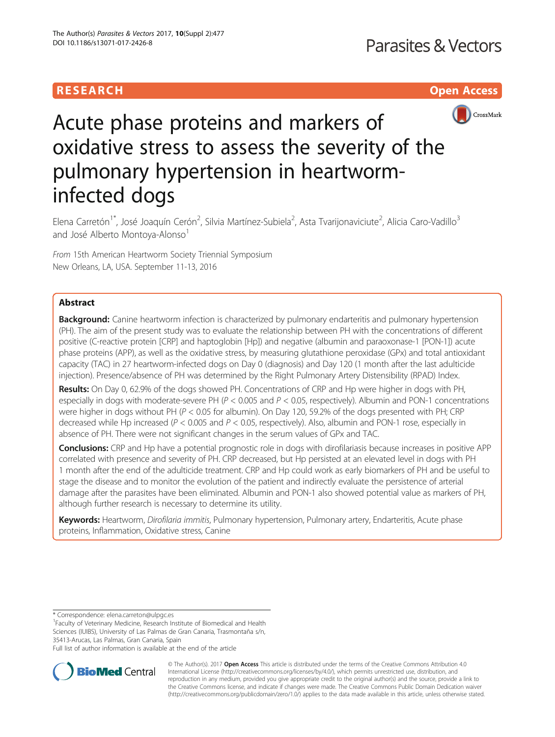# **RESEARCH CHILD CONTROL** CONTROL CONTROL CONTROL CONTROL CONTROL CONTROL CONTROL CONTROL CONTROL CONTROL CONTROL



# Acute phase proteins and markers of oxidative stress to assess the severity of the pulmonary hypertension in heartworminfected dogs

Elena Carretón<sup>1\*</sup>, José Joaquín Cerón<sup>2</sup>, Silvia Martínez-Subiela<sup>2</sup>, Asta Tvarijonaviciute<sup>2</sup>, Alicia Caro-Vadillo<sup>3</sup> and José Alberto Montoya-Alonso<sup>1</sup>

From 15th American Heartworm Society Triennial Symposium New Orleans, LA, USA. September 11-13, 2016

# Abstract

Background: Canine heartworm infection is characterized by pulmonary endarteritis and pulmonary hypertension (PH). The aim of the present study was to evaluate the relationship between PH with the concentrations of different positive (C-reactive protein [CRP] and haptoglobin [Hp]) and negative (albumin and paraoxonase-1 [PON-1]) acute phase proteins (APP), as well as the oxidative stress, by measuring glutathione peroxidase (GPx) and total antioxidant capacity (TAC) in 27 heartworm-infected dogs on Day 0 (diagnosis) and Day 120 (1 month after the last adulticide injection). Presence/absence of PH was determined by the Right Pulmonary Artery Distensibility (RPAD) Index.

Results: On Day 0, 62.9% of the dogs showed PH. Concentrations of CRP and Hp were higher in dogs with PH, especially in dogs with moderate-severe PH ( $P < 0.005$  and  $P < 0.05$ , respectively). Albumin and PON-1 concentrations were higher in dogs without PH ( $P < 0.05$  for albumin). On Day 120, 59.2% of the dogs presented with PH; CRP decreased while Hp increased ( $P < 0.005$  and  $P < 0.05$ , respectively). Also, albumin and PON-1 rose, especially in absence of PH. There were not significant changes in the serum values of GPx and TAC.

Conclusions: CRP and Hp have a potential prognostic role in dogs with dirofilariasis because increases in positive APP correlated with presence and severity of PH. CRP decreased, but Hp persisted at an elevated level in dogs with PH 1 month after the end of the adulticide treatment. CRP and Hp could work as early biomarkers of PH and be useful to stage the disease and to monitor the evolution of the patient and indirectly evaluate the persistence of arterial damage after the parasites have been eliminated. Albumin and PON-1 also showed potential value as markers of PH, although further research is necessary to determine its utility.

Keywords: Heartworm, Dirofilaria immitis, Pulmonary hypertension, Pulmonary artery, Endarteritis, Acute phase proteins, Inflammation, Oxidative stress, Canine

\* Correspondence: [elena.carreton@ulpgc.es](mailto:elena.carreton@ulpgc.es) <sup>1</sup>

<sup>1</sup> Faculty of Veterinary Medicine, Research Institute of Biomedical and Health Sciences (IUIBS), University of Las Palmas de Gran Canaria, Trasmontaña s/n, 35413-Arucas, Las Palmas, Gran Canaria, Spain

Full list of author information is available at the end of the article



© The Author(s). 2017 **Open Access** This article is distributed under the terms of the Creative Commons Attribution 4.0 International License [\(http://creativecommons.org/licenses/by/4.0/](http://creativecommons.org/licenses/by/4.0/)), which permits unrestricted use, distribution, and reproduction in any medium, provided you give appropriate credit to the original author(s) and the source, provide a link to the Creative Commons license, and indicate if changes were made. The Creative Commons Public Domain Dedication waiver [\(http://creativecommons.org/publicdomain/zero/1.0/](http://creativecommons.org/publicdomain/zero/1.0/)) applies to the data made available in this article, unless otherwise stated.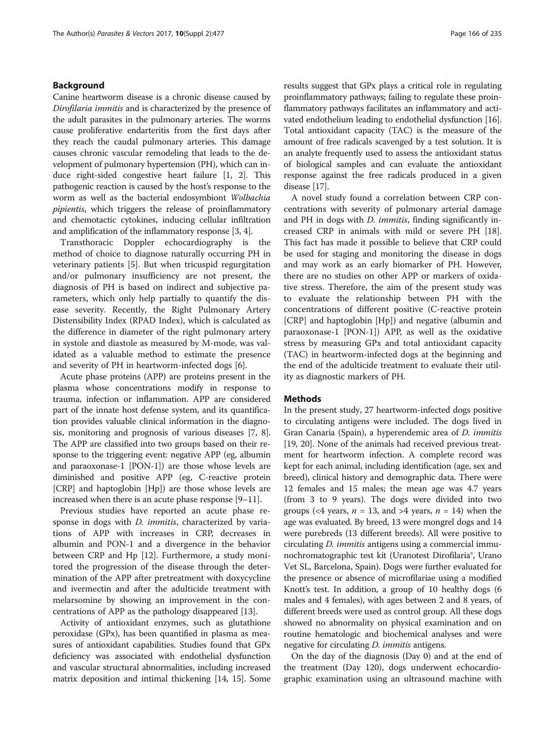## Background

Canine heartworm disease is a chronic disease caused by Dirofilaria immitis and is characterized by the presence of the adult parasites in the pulmonary arteries. The worms cause proliferative endarteritis from the first days after they reach the caudal pulmonary arteries. This damage causes chronic vascular remodeling that leads to the development of pulmonary hypertension (PH), which can induce right-sided congestive heart failure [\[1](#page-5-0), [2\]](#page-6-0). This pathogenic reaction is caused by the host's response to the worm as well as the bacterial endosymbiont Wolbachia pipientis, which triggers the release of proinflammatory and chemotactic cytokines, inducing cellular infiltration and amplification of the inflammatory response [[3, 4](#page-6-0)].

Transthoracic Doppler echocardiography is the method of choice to diagnose naturally occurring PH in veterinary patients [\[5](#page-6-0)]. But when tricuspid regurgitation and/or pulmonary insufficiency are not present, the diagnosis of PH is based on indirect and subjective parameters, which only help partially to quantify the disease severity. Recently, the Right Pulmonary Artery Distensibility Index (RPAD Index), which is calculated as the difference in diameter of the right pulmonary artery in systole and diastole as measured by M-mode, was validated as a valuable method to estimate the presence and severity of PH in heartworm-infected dogs [\[6](#page-6-0)].

Acute phase proteins (APP) are proteins present in the plasma whose concentrations modify in response to trauma, infection or inflammation. APP are considered part of the innate host defense system, and its quantification provides valuable clinical information in the diagnosis, monitoring and prognosis of various diseases [\[7](#page-6-0), [8](#page-6-0)]. The APP are classified into two groups based on their response to the triggering event: negative APP (eg, albumin and paraoxonase-1 [PON-1]) are those whose levels are diminished and positive APP (eg, C-reactive protein [CRP] and haptoglobin [Hp]) are those whose levels are increased when there is an acute phase response [\[9](#page-6-0)–[11\]](#page-6-0).

Previous studies have reported an acute phase response in dogs with *D. immitis*, characterized by variations of APP with increases in CRP, decreases in albumin and PON-1 and a divergence in the behavior between CRP and Hp [[12\]](#page-6-0). Furthermore, a study monitored the progression of the disease through the determination of the APP after pretreatment with doxycycline and ivermectin and after the adulticide treatment with melarsomine by showing an improvement in the concentrations of APP as the pathology disappeared [[13](#page-6-0)].

Activity of antioxidant enzymes, such as glutathione peroxidase (GPx), has been quantified in plasma as measures of antioxidant capabilities. Studies found that GPx deficiency was associated with endothelial dysfunction and vascular structural abnormalities, including increased matrix deposition and intimal thickening [\[14, 15\]](#page-6-0). Some results suggest that GPx plays a critical role in regulating proinflammatory pathways; failing to regulate these proinflammatory pathways facilitates an inflammatory and activated endothelium leading to endothelial dysfunction [[16](#page-6-0)]. Total antioxidant capacity (TAC) is the measure of the amount of free radicals scavenged by a test solution. It is an analyte frequently used to assess the antioxidant status of biological samples and can evaluate the antioxidant response against the free radicals produced in a given disease [\[17](#page-6-0)].

A novel study found a correlation between CRP concentrations with severity of pulmonary arterial damage and PH in dogs with *D. immitis*, finding significantly increased CRP in animals with mild or severe PH [\[18](#page-6-0)]. This fact has made it possible to believe that CRP could be used for staging and monitoring the disease in dogs and may work as an early biomarker of PH. However, there are no studies on other APP or markers of oxidative stress. Therefore, the aim of the present study was to evaluate the relationship between PH with the concentrations of different positive (C-reactive protein [CRP] and haptoglobin [Hp]) and negative (albumin and paraoxonase-1 [PON-1]) APP, as well as the oxidative stress by measuring GPx and total antioxidant capacity (TAC) in heartworm-infected dogs at the beginning and the end of the adulticide treatment to evaluate their utility as diagnostic markers of PH.

## **Methods**

In the present study, 27 heartworm-infected dogs positive to circulating antigens were included. The dogs lived in Gran Canaria (Spain), a hyperendemic area of D. immitis [[19](#page-6-0), [20](#page-6-0)]. None of the animals had received previous treatment for heartworm infection. A complete record was kept for each animal, including identification (age, sex and breed), clinical history and demographic data. There were 12 females and 15 males; the mean age was 4.7 years (from 3 to 9 years). The dogs were divided into two groups (<4 years,  $n = 13$ , and >4 years,  $n = 14$ ) when the age was evaluated. By breed, 13 were mongrel dogs and 14 were purebreds (13 different breeds). All were positive to circulating D. immitis antigens using a commercial immunochromatographic test kit (Uranotest Dirofilaria®, Urano Vet SL, Barcelona, Spain). Dogs were further evaluated for the presence or absence of microfilariae using a modified Knott's test. In addition, a group of 10 healthy dogs (6 males and 4 females), with ages between 2 and 8 years, of different breeds were used as control group. All these dogs showed no abnormality on physical examination and on routine hematologic and biochemical analyses and were negative for circulating *D. immitis* antigens.

On the day of the diagnosis (Day 0) and at the end of the treatment (Day 120), dogs underwent echocardiographic examination using an ultrasound machine with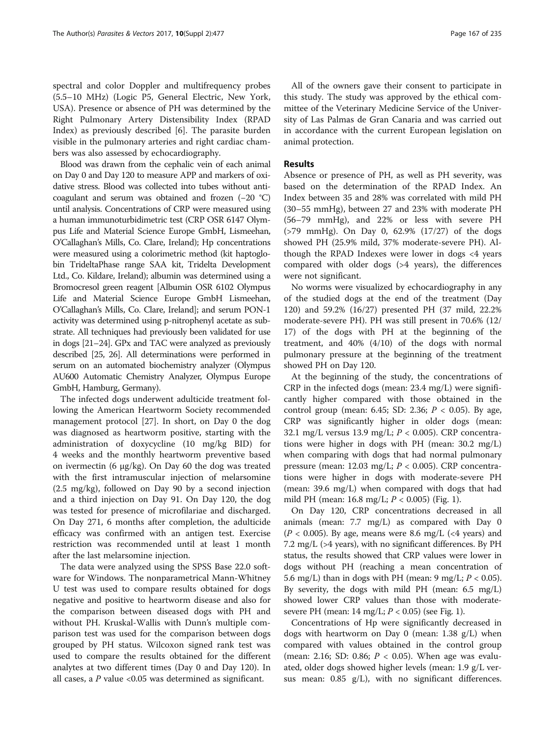spectral and color Doppler and multifrequency probes (5.5–10 MHz) (Logic P5, General Electric, New York, USA). Presence or absence of PH was determined by the Right Pulmonary Artery Distensibility Index (RPAD Index) as previously described [\[6\]](#page-6-0). The parasite burden visible in the pulmonary arteries and right cardiac chambers was also assessed by echocardiography.

Blood was drawn from the cephalic vein of each animal on Day 0 and Day 120 to measure APP and markers of oxidative stress. Blood was collected into tubes without anticoagulant and serum was obtained and frozen (−20 °C) until analysis. Concentrations of CRP were measured using a human immunoturbidimetric test (CRP OSR 6147 Olympus Life and Material Science Europe GmbH, Lismeehan, O'Callaghan's Mills, Co. Clare, Ireland); Hp concentrations were measured using a colorimetric method (kit haptoglobin TrideltaPhase range SAA kit, Tridelta Development Ltd., Co. Kildare, Ireland); albumin was determined using a Bromocresol green reagent [Albumin OSR 6102 Olympus Life and Material Science Europe GmbH Lismeehan, O'Callaghan's Mills, Co. Clare, Ireland]; and serum PON-1 activity was determined using p-nitrophenyl acetate as substrate. All techniques had previously been validated for use in dogs [\[21](#page-6-0)–[24\]](#page-6-0). GPx and TAC were analyzed as previously described [\[25](#page-6-0), [26](#page-6-0)]. All determinations were performed in serum on an automated biochemistry analyzer (Olympus AU600 Automatic Chemistry Analyzer, Olympus Europe GmbH, Hamburg, Germany).

The infected dogs underwent adulticide treatment following the American Heartworm Society recommended management protocol [\[27\]](#page-6-0). In short, on Day 0 the dog was diagnosed as heartworm positive, starting with the administration of doxycycline (10 mg/kg BID) for 4 weeks and the monthly heartworm preventive based on ivermectin (6 μg/kg). On Day 60 the dog was treated with the first intramuscular injection of melarsomine (2.5 mg/kg), followed on Day 90 by a second injection and a third injection on Day 91. On Day 120, the dog was tested for presence of microfilariae and discharged. On Day 271, 6 months after completion, the adulticide efficacy was confirmed with an antigen test. Exercise restriction was recommended until at least 1 month after the last melarsomine injection.

The data were analyzed using the SPSS Base 22.0 software for Windows. The nonparametrical Mann-Whitney U test was used to compare results obtained for dogs negative and positive to heartworm disease and also for the comparison between diseased dogs with PH and without PH. Kruskal-Wallis with Dunn's multiple comparison test was used for the comparison between dogs grouped by PH status. Wilcoxon signed rank test was used to compare the results obtained for the different analytes at two different times (Day 0 and Day 120). In all cases, a  $P$  value <0.05 was determined as significant.

All of the owners gave their consent to participate in this study. The study was approved by the ethical committee of the Veterinary Medicine Service of the University of Las Palmas de Gran Canaria and was carried out in accordance with the current European legislation on animal protection.

## Results

Absence or presence of PH, as well as PH severity, was based on the determination of the RPAD Index. An Index between 35 and 28% was correlated with mild PH (30–55 mmHg), between 27 and 23% with moderate PH (56–79 mmHg), and 22% or less with severe PH (>79 mmHg). On Day 0, 62.9% (17/27) of the dogs showed PH (25.9% mild, 37% moderate-severe PH). Although the RPAD Indexes were lower in dogs <4 years compared with older dogs (>4 years), the differences were not significant.

No worms were visualized by echocardiography in any of the studied dogs at the end of the treatment (Day 120) and 59.2% (16/27) presented PH (37 mild, 22.2% moderate-severe PH). PH was still present in 70.6% (12/ 17) of the dogs with PH at the beginning of the treatment, and 40% (4/10) of the dogs with normal pulmonary pressure at the beginning of the treatment showed PH on Day 120.

At the beginning of the study, the concentrations of CRP in the infected dogs (mean: 23.4 mg/L) were significantly higher compared with those obtained in the control group (mean: 6.45; SD: 2.36;  $P < 0.05$ ). By age, CRP was significantly higher in older dogs (mean: 32.1 mg/L versus 13.9 mg/L;  $P < 0.005$ ). CRP concentrations were higher in dogs with PH (mean: 30.2 mg/L) when comparing with dogs that had normal pulmonary pressure (mean: 12.03 mg/L;  $P < 0.005$ ). CRP concentrations were higher in dogs with moderate-severe PH (mean: 39.6 mg/L) when compared with dogs that had mild PH (mean: 16.8 mg/L;  $P < 0.005$ ) (Fig. [1\)](#page-3-0).

On Day 120, CRP concentrations decreased in all animals (mean: 7.7 mg/L) as compared with Day 0  $(P < 0.005)$ . By age, means were 8.6 mg/L (<4 years) and 7.2 mg/L (>4 years), with no significant differences. By PH status, the results showed that CRP values were lower in dogs without PH (reaching a mean concentration of 5.6 mg/L) than in dogs with PH (mean: 9 mg/L;  $P < 0.05$ ). By severity, the dogs with mild PH (mean: 6.5 mg/L) showed lower CRP values than those with moderatesevere PH (mean:  $14 \text{ mg/L}; P < 0.05$ ) (see Fig. [1\)](#page-3-0).

Concentrations of Hp were significantly decreased in dogs with heartworm on Day 0 (mean: 1.38 g/L) when compared with values obtained in the control group (mean: 2.16; SD: 0.86;  $P < 0.05$ ). When age was evaluated, older dogs showed higher levels (mean: 1.9 g/L versus mean: 0.85 g/L), with no significant differences.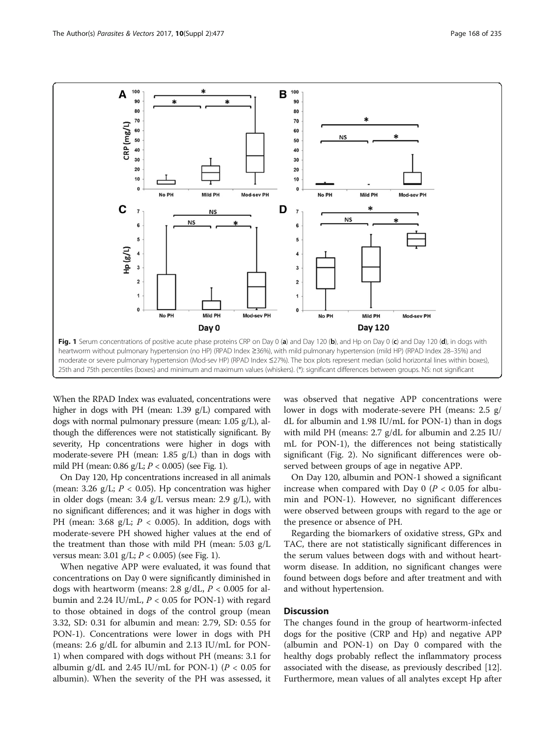<span id="page-3-0"></span>

When the RPAD Index was evaluated, concentrations were higher in dogs with PH (mean: 1.39 g/L) compared with dogs with normal pulmonary pressure (mean: 1.05 g/L), although the differences were not statistically significant. By severity, Hp concentrations were higher in dogs with moderate-severe PH (mean: 1.85 g/L) than in dogs with mild PH (mean:  $0.86 \text{ g/L}; P < 0.005$ ) (see Fig. 1).

On Day 120, Hp concentrations increased in all animals (mean: 3.26 g/L;  $P < 0.05$ ). Hp concentration was higher in older dogs (mean: 3.4 g/L versus mean: 2.9 g/L), with no significant differences; and it was higher in dogs with PH (mean: 3.68 g/L;  $P < 0.005$ ). In addition, dogs with moderate-severe PH showed higher values at the end of the treatment than those with mild PH (mean: 5.03 g/L versus mean:  $3.01 \text{ g/L}; P < 0.005$ ) (see Fig. 1).

When negative APP were evaluated, it was found that concentrations on Day 0 were significantly diminished in dogs with heartworm (means: 2.8 g/dL,  $P < 0.005$  for albumin and 2.24 IU/mL,  $P < 0.05$  for PON-1) with regard to those obtained in dogs of the control group (mean 3.32, SD: 0.31 for albumin and mean: 2.79, SD: 0.55 for PON-1). Concentrations were lower in dogs with PH (means: 2.6 g/dL for albumin and 2.13 IU/mL for PON-1) when compared with dogs without PH (means: 3.1 for albumin g/dL and 2.45 IU/mL for PON-1) ( $P < 0.05$  for albumin). When the severity of the PH was assessed, it

was observed that negative APP concentrations were lower in dogs with moderate-severe PH (means: 2.5 g/ dL for albumin and 1.98 IU/mL for PON-1) than in dogs with mild PH (means: 2.7 g/dL for albumin and 2.25 IU/ mL for PON-1), the differences not being statistically significant (Fig. [2](#page-4-0)). No significant differences were observed between groups of age in negative APP.

On Day 120, albumin and PON-1 showed a significant increase when compared with Day 0 ( $P < 0.05$  for albumin and PON-1). However, no significant differences were observed between groups with regard to the age or the presence or absence of PH.

Regarding the biomarkers of oxidative stress, GPx and TAC, there are not statistically significant differences in the serum values between dogs with and without heartworm disease. In addition, no significant changes were found between dogs before and after treatment and with and without hypertension.

## **Discussion**

The changes found in the group of heartworm-infected dogs for the positive (CRP and Hp) and negative APP (albumin and PON-1) on Day 0 compared with the healthy dogs probably reflect the inflammatory process associated with the disease, as previously described [\[12](#page-6-0)]. Furthermore, mean values of all analytes except Hp after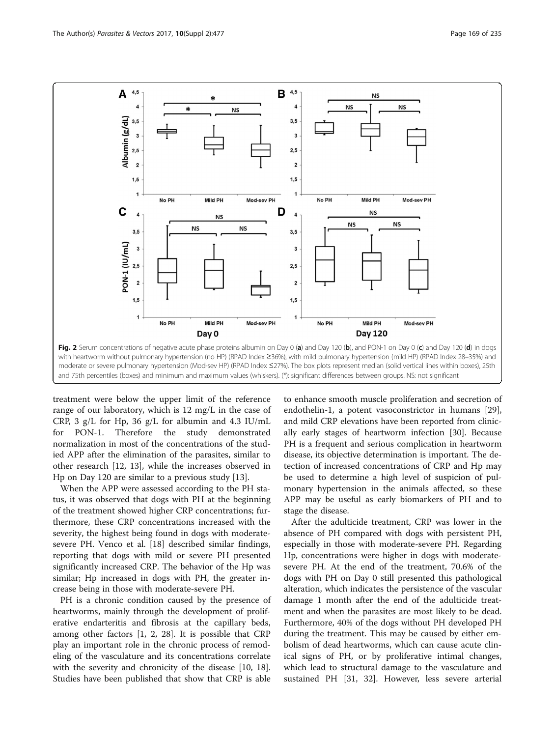<span id="page-4-0"></span>

treatment were below the upper limit of the reference range of our laboratory, which is 12 mg/L in the case of CRP, 3 g/L for Hp, 36 g/L for albumin and 4.3 IU/mL for PON-1. Therefore the study demonstrated normalization in most of the concentrations of the studied APP after the elimination of the parasites, similar to other research [[12](#page-6-0), [13](#page-6-0)], while the increases observed in Hp on Day 120 are similar to a previous study [[13](#page-6-0)].

When the APP were assessed according to the PH status, it was observed that dogs with PH at the beginning of the treatment showed higher CRP concentrations; furthermore, these CRP concentrations increased with the severity, the highest being found in dogs with moderatesevere PH. Venco et al. [[18\]](#page-6-0) described similar findings, reporting that dogs with mild or severe PH presented significantly increased CRP. The behavior of the Hp was similar; Hp increased in dogs with PH, the greater increase being in those with moderate-severe PH.

PH is a chronic condition caused by the presence of heartworms, mainly through the development of proliferative endarteritis and fibrosis at the capillary beds, among other factors [\[1](#page-5-0), [2, 28](#page-6-0)]. It is possible that CRP play an important role in the chronic process of remodeling of the vasculature and its concentrations correlate with the severity and chronicity of the disease [\[10](#page-6-0), [18](#page-6-0)]. Studies have been published that show that CRP is able

to enhance smooth muscle proliferation and secretion of endothelin-1, a potent vasoconstrictor in humans [\[29](#page-6-0)], and mild CRP elevations have been reported from clinically early stages of heartworm infection [[30](#page-6-0)]. Because PH is a frequent and serious complication in heartworm disease, its objective determination is important. The detection of increased concentrations of CRP and Hp may be used to determine a high level of suspicion of pulmonary hypertension in the animals affected, so these APP may be useful as early biomarkers of PH and to stage the disease.

After the adulticide treatment, CRP was lower in the absence of PH compared with dogs with persistent PH, especially in those with moderate-severe PH. Regarding Hp, concentrations were higher in dogs with moderatesevere PH. At the end of the treatment, 70.6% of the dogs with PH on Day 0 still presented this pathological alteration, which indicates the persistence of the vascular damage 1 month after the end of the adulticide treatment and when the parasites are most likely to be dead. Furthermore, 40% of the dogs without PH developed PH during the treatment. This may be caused by either embolism of dead heartworms, which can cause acute clinical signs of PH, or by proliferative intimal changes, which lead to structural damage to the vasculature and sustained PH [\[31, 32](#page-6-0)]. However, less severe arterial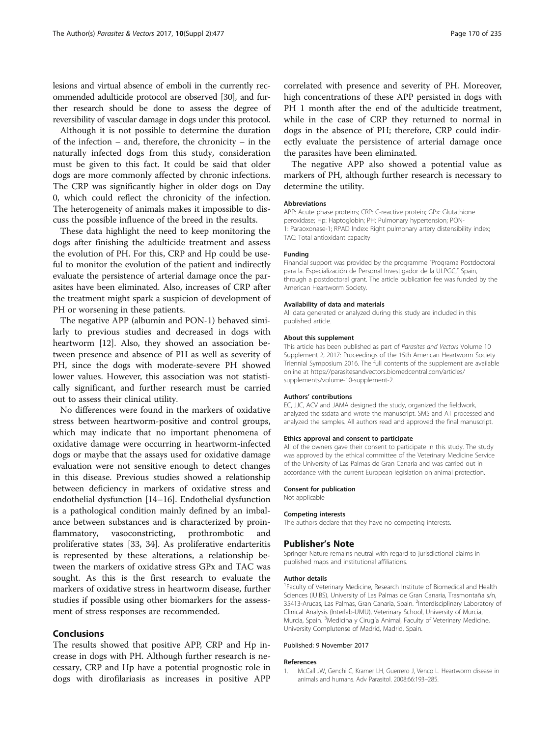<span id="page-5-0"></span>lesions and virtual absence of emboli in the currently recommended adulticide protocol are observed [[30](#page-6-0)], and further research should be done to assess the degree of reversibility of vascular damage in dogs under this protocol.

Although it is not possible to determine the duration of the infection – and, therefore, the chronicity – in the naturally infected dogs from this study, consideration must be given to this fact. It could be said that older dogs are more commonly affected by chronic infections. The CRP was significantly higher in older dogs on Day 0, which could reflect the chronicity of the infection. The heterogeneity of animals makes it impossible to discuss the possible influence of the breed in the results.

These data highlight the need to keep monitoring the dogs after finishing the adulticide treatment and assess the evolution of PH. For this, CRP and Hp could be useful to monitor the evolution of the patient and indirectly evaluate the persistence of arterial damage once the parasites have been eliminated. Also, increases of CRP after the treatment might spark a suspicion of development of PH or worsening in these patients.

The negative APP (albumin and PON-1) behaved similarly to previous studies and decreased in dogs with heartworm [[12](#page-6-0)]. Also, they showed an association between presence and absence of PH as well as severity of PH, since the dogs with moderate-severe PH showed lower values. However, this association was not statistically significant, and further research must be carried out to assess their clinical utility.

No differences were found in the markers of oxidative stress between heartworm-positive and control groups, which may indicate that no important phenomena of oxidative damage were occurring in heartworm-infected dogs or maybe that the assays used for oxidative damage evaluation were not sensitive enough to detect changes in this disease. Previous studies showed a relationship between deficiency in markers of oxidative stress and endothelial dysfunction [\[14](#page-6-0)–[16\]](#page-6-0). Endothelial dysfunction is a pathological condition mainly defined by an imbalance between substances and is characterized by proinflammatory, vasoconstricting, prothrombotic and proliferative states [\[33, 34](#page-6-0)]. As proliferative endarteritis is represented by these alterations, a relationship between the markers of oxidative stress GPx and TAC was sought. As this is the first research to evaluate the markers of oxidative stress in heartworm disease, further studies if possible using other biomarkers for the assessment of stress responses are recommended.

## Conclusions

The results showed that positive APP, CRP and Hp increase in dogs with PH. Although further research is necessary, CRP and Hp have a potential prognostic role in dogs with dirofilariasis as increases in positive APP correlated with presence and severity of PH. Moreover, high concentrations of these APP persisted in dogs with PH 1 month after the end of the adulticide treatment, while in the case of CRP they returned to normal in dogs in the absence of PH; therefore, CRP could indirectly evaluate the persistence of arterial damage once the parasites have been eliminated.

The negative APP also showed a potential value as markers of PH, although further research is necessary to determine the utility.

#### Abbreviations

APP: Acute phase proteins; CRP: C-reactive protein; GPx: Glutathione peroxidase; Hp: Haptoglobin; PH: Pulmonary hypertension; PON-1: Paraoxonase-1; RPAD Index: Right pulmonary artery distensibility index; TAC: Total antioxidant capacity

#### Funding

Financial support was provided by the programme "Programa Postdoctoral para la. Especialización de Personal Investigador de la ULPGC," Spain, through a postdoctoral grant. The article publication fee was funded by the American Heartworm Society.

#### Availability of data and materials

All data generated or analyzed during this study are included in this published article.

#### About this supplement

This article has been published as part of Parasites and Vectors Volume 10 Supplement 2, 2017: Proceedings of the 15th American Heartworm Society Triennial Symposium 2016. The full contents of the supplement are available online at [https://parasitesandvectors.biomedcentral.com/articles/](https://parasitesandvectors.biomedcentral.com/articles/supplements/volume-10-supplement-2) [supplements/volume-10-supplement-2.](https://parasitesandvectors.biomedcentral.com/articles/supplements/volume-10-supplement-2)

#### Authors' contributions

EC, JJC, ACV and JAMA designed the study, organized the fieldwork, analyzed the ssdata and wrote the manuscript. SMS and AT processed and analyzed the samples. All authors read and approved the final manuscript.

#### Ethics approval and consent to participate

All of the owners gave their consent to participate in this study. The study was approved by the ethical committee of the Veterinary Medicine Service of the University of Las Palmas de Gran Canaria and was carried out in accordance with the current European legislation on animal protection.

#### Consent for publication

Not applicable

#### Competing interests

The authors declare that they have no competing interests.

#### Publisher's Note

Springer Nature remains neutral with regard to jurisdictional claims in published maps and institutional affiliations.

## Author details

<sup>1</sup> Faculty of Veterinary Medicine, Research Institute of Biomedical and Health Sciences (IUIBS), University of Las Palmas de Gran Canaria, Trasmontaña s/n, 35413-Arucas, Las Palmas, Gran Canaria, Spain. <sup>2</sup>Interdisciplinary Laboratory of Clinical Analysis (Interlab-UMU), Veterinary School, University of Murcia, Murcia, Spain. <sup>3</sup>Medicina y Cirugía Animal, Faculty of Veterinary Medicine University Complutense of Madrid, Madrid, Spain.

### Published: 9 November 2017

#### References

1. McCall JW, Genchi C, Kramer LH, Guerrero J, Venco L. Heartworm disease in animals and humans. Adv Parasitol. 2008;66:193–285.